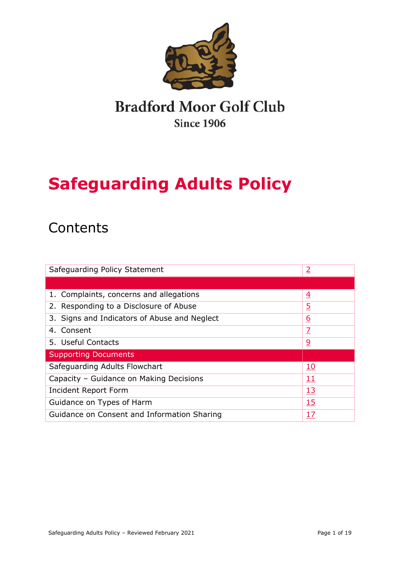

## **Bradford Moor Golf Club Since 1906**

# **Safeguarding Adults Policy**

## **Contents**

| Safeguarding Policy Statement                 | <u>2</u>       |
|-----------------------------------------------|----------------|
|                                               |                |
| 1. Complaints, concerns and allegations       | $\overline{4}$ |
| 2. Responding to a Disclosure of Abuse        | <u>5</u>       |
| 3. Signs and Indicators of Abuse and Neglect  | <u>6</u>       |
| 4. Consent                                    | Z              |
| 5. Useful Contacts                            | <u>و</u>       |
| <b>Supporting Documents</b>                   |                |
| Safeguarding Adults Flowchart                 | <u>10</u>      |
| Capacity - Guidance on Making Decisions<br>11 |                |
| Incident Report Form<br><u>13</u>             |                |
| <u>15</u><br>Guidance on Types of Harm        |                |
| Guidance on Consent and Information Sharing   | 17             |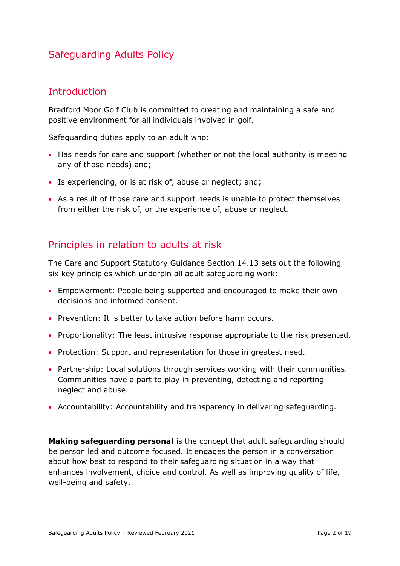## Safeguarding Adults Policy

## <span id="page-1-0"></span>**Introduction**

Bradford Moor Golf Club is committed to creating and maintaining a safe and positive environment for all individuals involved in golf.

Safeguarding duties apply to an adult who:

- Has needs for care and support (whether or not the local authority is meeting any of those needs) and;
- Is experiencing, or is at risk of, abuse or neglect; and;
- As a result of those care and support needs is unable to protect themselves from either the risk of, or the experience of, abuse or neglect.

## Principles in relation to adults at risk

The Care and Support Statutory Guidance Section 14.13 sets out the following six key principles which underpin all adult safeguarding work:

- Empowerment: People being supported and encouraged to make their own decisions and informed consent.
- Prevention: It is better to take action before harm occurs.
- Proportionality: The least intrusive response appropriate to the risk presented.
- Protection: Support and representation for those in greatest need.
- Partnership: Local solutions through services working with their communities. Communities have a part to play in preventing, detecting and reporting neglect and abuse.
- Accountability: Accountability and transparency in delivering safeguarding.

**Making safeguarding personal** is the concept that adult safeguarding should be person led and outcome focused. It engages the person in a conversation about how best to respond to their safeguarding situation in a way that enhances involvement, choice and control. As well as improving quality of life, well-being and safety.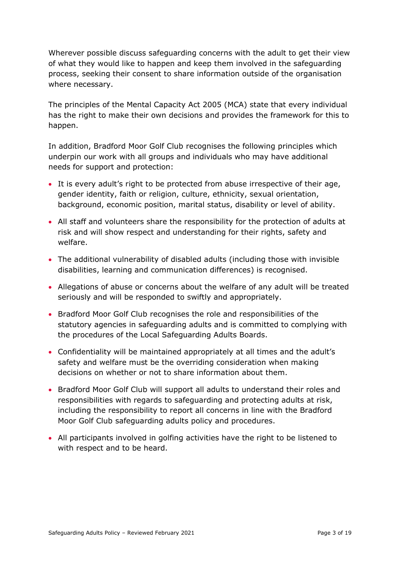Wherever possible discuss safeguarding concerns with the adult to get their view of what they would like to happen and keep them involved in the safeguarding process, seeking their consent to share information outside of the organisation where necessary.

The principles of the Mental Capacity Act 2005 (MCA) state that every individual has the right to make their own decisions and provides the framework for this to happen.

In addition, Bradford Moor Golf Club recognises the following principles which underpin our work with all groups and individuals who may have additional needs for support and protection:

- It is every adult's right to be protected from abuse irrespective of their age, gender identity, faith or religion, culture, ethnicity, sexual orientation, background, economic position, marital status, disability or level of ability.
- All staff and volunteers share the responsibility for the protection of adults at risk and will show respect and understanding for their rights, safety and welfare.
- The additional vulnerability of disabled adults (including those with invisible disabilities, learning and communication differences) is recognised.
- Allegations of abuse or concerns about the welfare of any adult will be treated seriously and will be responded to swiftly and appropriately.
- Bradford Moor Golf Club recognises the role and responsibilities of the statutory agencies in safeguarding adults and is committed to complying with the procedures of the Local Safeguarding Adults Boards.
- Confidentiality will be maintained appropriately at all times and the adult's safety and welfare must be the overriding consideration when making decisions on whether or not to share information about them.
- Bradford Moor Golf Club will support all adults to understand their roles and responsibilities with regards to safeguarding and protecting adults at risk, including the responsibility to report all concerns in line with the Bradford Moor Golf Club safeguarding adults policy and procedures.
- All participants involved in golfing activities have the right to be listened to with respect and to be heard.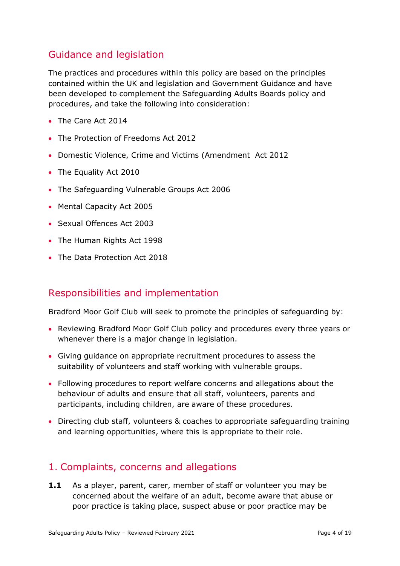## Guidance and legislation

The practices and procedures within this policy are based on the principles contained within the UK and legislation and Government Guidance and have been developed to complement the Safeguarding Adults Boards policy and procedures, and take the following into consideration:

- The Care Act 2014
- The Protection of Freedoms Act 2012
- Domestic Violence, Crime and Victims (Amendment Act 2012
- The Equality Act 2010
- The Safeguarding Vulnerable Groups Act 2006
- Mental Capacity Act 2005
- Sexual Offences Act 2003
- The Human Rights Act 1998
- The Data Protection Act 2018

### Responsibilities and implementation

Bradford Moor Golf Club will seek to promote the principles of safeguarding by:

- Reviewing Bradford Moor Golf Club policy and procedures every three years or whenever there is a major change in legislation.
- Giving guidance on appropriate recruitment procedures to assess the suitability of volunteers and staff working with vulnerable groups.
- Following procedures to report welfare concerns and allegations about the behaviour of adults and ensure that all staff, volunteers, parents and participants, including children, are aware of these procedures.
- Directing club staff, volunteers & coaches to appropriate safeguarding training and learning opportunities, where this is appropriate to their role.

### <span id="page-3-0"></span>1. Complaints, concerns and allegations

**1.1** As a player, parent, carer, member of staff or volunteer you may be concerned about the welfare of an adult, become aware that abuse or poor practice is taking place, suspect abuse or poor practice may be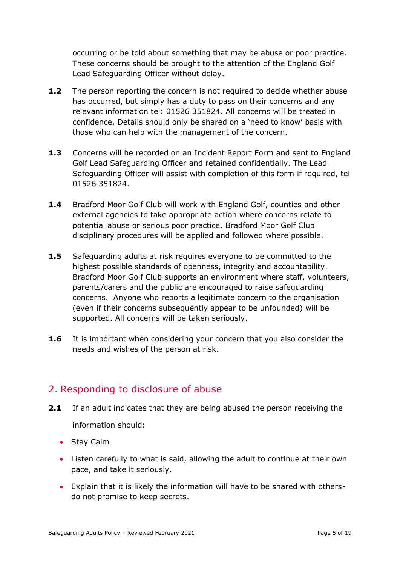occurring or be told about something that may be abuse or poor practice. These concerns should be brought to the attention of the England Golf Lead Safeguarding Officer without delay.

- **1.2** The person reporting the concern is not required to decide whether abuse has occurred, but simply has a duty to pass on their concerns and any relevant information tel: 01526 351824. All concerns will be treated in confidence. Details should only be shared on a 'need to know' basis with those who can help with the management of the concern.
- **1.3** Concerns will be recorded on an Incident Report Form and sent to England Golf Lead Safeguarding Officer and retained confidentially. The Lead Safeguarding Officer will assist with completion of this form if required, tel 01526 351824.
- **1.4** Bradford Moor Golf Club will work with England Golf, counties and other external agencies to take appropriate action where concerns relate to potential abuse or serious poor practice. Bradford Moor Golf Club disciplinary procedures will be applied and followed where possible.
- **1.5** Safeguarding adults at risk requires everyone to be committed to the highest possible standards of openness, integrity and accountability. Bradford Moor Golf Club supports an environment where staff, volunteers, parents/carers and the public are encouraged to raise safeguarding concerns. Anyone who reports a legitimate concern to the organisation (even if their concerns subsequently appear to be unfounded) will be supported. All concerns will be taken seriously.
- **1.6** It is important when considering your concern that you also consider the needs and wishes of the person at risk.

## <span id="page-4-0"></span>2. Responding to disclosure of abuse

- **2.1** If an adult indicates that they are being abused the person receiving the information should:
	- Stay Calm
	- Listen carefully to what is said, allowing the adult to continue at their own pace, and take it seriously.
	- Explain that it is likely the information will have to be shared with othersdo not promise to keep secrets.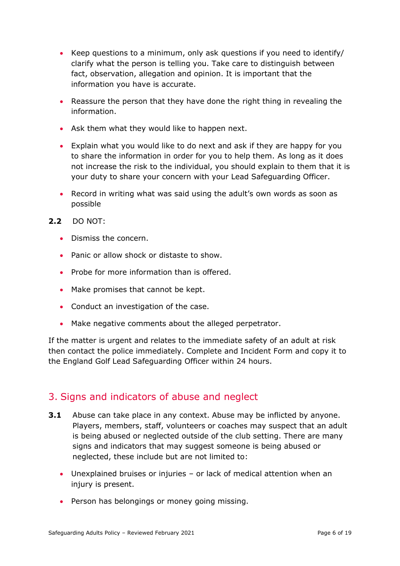- Keep questions to a minimum, only ask questions if you need to identify/ clarify what the person is telling you. Take care to distinguish between fact, observation, allegation and opinion. It is important that the information you have is accurate.
- Reassure the person that they have done the right thing in revealing the information.
- Ask them what they would like to happen next.
- Explain what you would like to do next and ask if they are happy for you to share the information in order for you to help them. As long as it does not increase the risk to the individual, you should explain to them that it is your duty to share your concern with your Lead Safeguarding Officer.
- Record in writing what was said using the adult's own words as soon as possible
- **2.2** DO NOT:
	- Dismiss the concern.
	- Panic or allow shock or distaste to show.
	- Probe for more information than is offered.
	- Make promises that cannot be kept.
	- Conduct an investigation of the case.
	- Make negative comments about the alleged perpetrator.

If the matter is urgent and relates to the immediate safety of an adult at risk then contact the police immediately. Complete and Incident Form and copy it to the England Golf Lead Safeguarding Officer within 24 hours.

### <span id="page-5-0"></span>3. Signs and indicators of abuse and neglect

- **3.1** Abuse can take place in any context. Abuse may be inflicted by anyone. Players, members, staff, volunteers or coaches may suspect that an adult is being abused or neglected outside of the club setting. There are many signs and indicators that may suggest someone is being abused or neglected, these include but are not limited to:
	- Unexplained bruises or injuries or lack of medical attention when an injury is present.
	- Person has belongings or money going missing.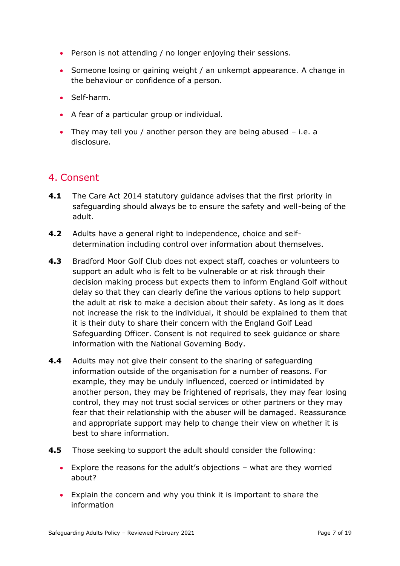- Person is not attending / no longer enjoying their sessions.
- Someone losing or gaining weight / an unkempt appearance. A change in the behaviour or confidence of a person.
- Self-harm.
- A fear of a particular group or individual.
- They may tell you / another person they are being abused i.e. a disclosure.

## <span id="page-6-0"></span>4. Consent

- **4.1** The Care Act 2014 statutory guidance advises that the first priority in safeguarding should always be to ensure the safety and well-being of the adult.
- **4.2** Adults have a general right to independence, choice and selfdetermination including control over information about themselves.
- **4.3** Bradford Moor Golf Club does not expect staff, coaches or volunteers to support an adult who is felt to be vulnerable or at risk through their decision making process but expects them to inform England Golf without delay so that they can clearly define the various options to help support the adult at risk to make a decision about their safety. As long as it does not increase the risk to the individual, it should be explained to them that it is their duty to share their concern with the England Golf Lead Safeguarding Officer. Consent is not required to seek guidance or share information with the National Governing Body.
- **4.4** Adults may not give their consent to the sharing of safeguarding information outside of the organisation for a number of reasons. For example, they may be unduly influenced, coerced or intimidated by another person, they may be frightened of reprisals, they may fear losing control, they may not trust social services or other partners or they may fear that their relationship with the abuser will be damaged. Reassurance and appropriate support may help to change their view on whether it is best to share information.
- **4.5** Those seeking to support the adult should consider the following:
	- Explore the reasons for the adult's objections what are they worried about?
	- Explain the concern and why you think it is important to share the information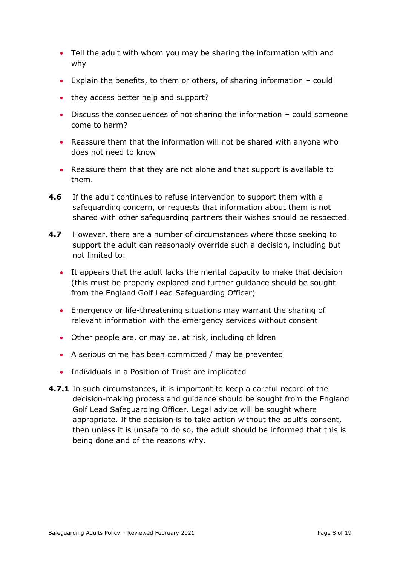- Tell the adult with whom you may be sharing the information with and why
- Explain the benefits, to them or others, of sharing information could
- they access better help and support?
- Discuss the consequences of not sharing the information could someone come to harm?
- Reassure them that the information will not be shared with anyone who does not need to know
- Reassure them that they are not alone and that support is available to them.
- **4.6** If the adult continues to refuse intervention to support them with a safeguarding concern, or requests that information about them is not shared with other safeguarding partners their wishes should be respected.
- **4.7** However, there are a number of circumstances where those seeking to support the adult can reasonably override such a decision, including but not limited to:
	- It appears that the adult lacks the mental capacity to make that decision (this must be properly explored and further guidance should be sought from the England Golf Lead Safeguarding Officer)
	- Emergency or life-threatening situations may warrant the sharing of relevant information with the emergency services without consent
	- Other people are, or may be, at risk, including children
	- A serious crime has been committed / may be prevented
	- Individuals in a Position of Trust are implicated
- **4.7.1** In such circumstances, it is important to keep a careful record of the decision-making process and guidance should be sought from the England Golf Lead Safeguarding Officer. Legal advice will be sought where appropriate. If the decision is to take action without the adult's consent, then unless it is unsafe to do so, the adult should be informed that this is being done and of the reasons why.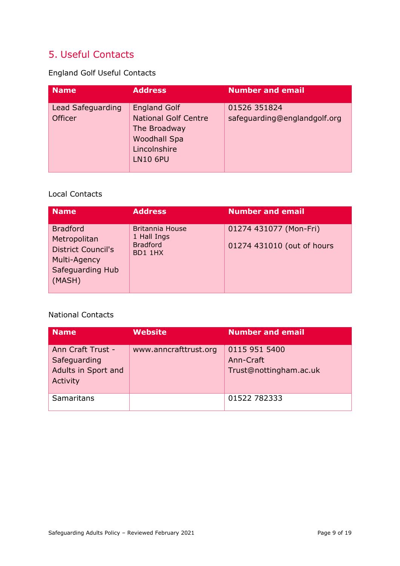## <span id="page-8-0"></span>5. Useful Contacts

England Golf Useful Contacts

| <b>Name</b>                         | <b>Address</b>                                                                                                        | <b>Number and email</b>                      |
|-------------------------------------|-----------------------------------------------------------------------------------------------------------------------|----------------------------------------------|
| Lead Safeguarding<br><b>Officer</b> | <b>England Golf</b><br><b>National Golf Centre</b><br>The Broadway<br>Woodhall Spa<br>Lincolnshire<br><b>LN10 6PU</b> | 01526 351824<br>safeguarding@englandgolf.org |

#### Local Contacts

| <b>Name</b>                                                                                                | <b>Address</b>                                                      | <b>Number and email</b>                              |
|------------------------------------------------------------------------------------------------------------|---------------------------------------------------------------------|------------------------------------------------------|
| <b>Bradford</b><br>Metropolitan<br><b>District Council's</b><br>Multi-Agency<br>Safeguarding Hub<br>(MASH) | <b>Britannia House</b><br>1 Hall Ings<br><b>Bradford</b><br>BD1 1HX | 01274 431077 (Mon-Fri)<br>01274 431010 (out of hours |

#### National Contacts

| Name                                                                 | <b>Website</b>        | <b>Number and email</b>                              |
|----------------------------------------------------------------------|-----------------------|------------------------------------------------------|
| Ann Craft Trust -<br>Safeguarding<br>Adults in Sport and<br>Activity | www.anncrafttrust.org | 0115 951 5400<br>Ann-Craft<br>Trust@nottingham.ac.uk |
| Samaritans                                                           |                       | 01522 782333                                         |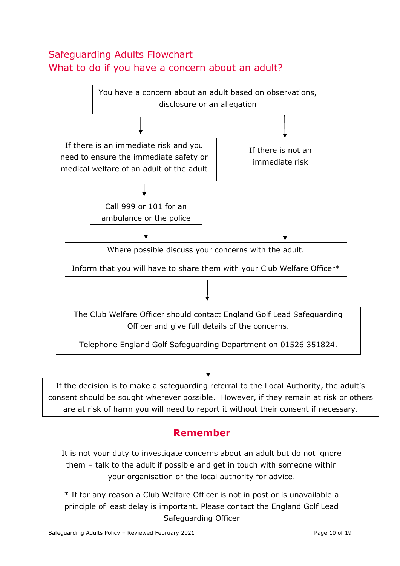## <span id="page-9-0"></span>Safeguarding Adults Flowchart What to do if you have a concern about an adult?



## **Remember**

It is not your duty to investigate concerns about an adult but do not ignore them – talk to the adult if possible and get in touch with someone within your organisation or the local authority for advice.

\* If for any reason a Club Welfare Officer is not in post or is unavailable a principle of least delay is important. Please contact the England Golf Lead Safeguarding Officer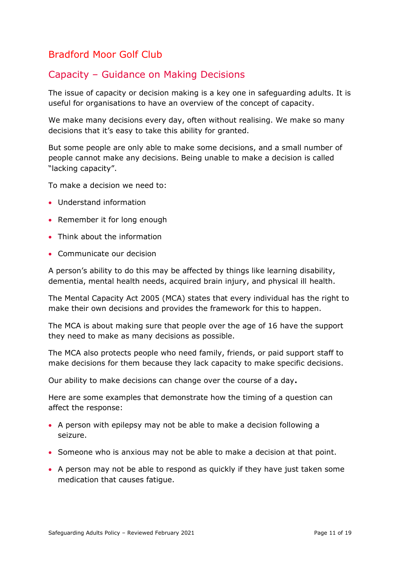## <span id="page-10-0"></span>Bradford Moor Golf Club

## Capacity – Guidance on Making Decisions

The issue of capacity or decision making is a key one in safeguarding adults. It is useful for organisations to have an overview of the concept of capacity.

We make many decisions every day, often without realising. We make so many decisions that it's easy to take this ability for granted.

But some people are only able to make some decisions, and a small number of people cannot make any decisions. Being unable to make a decision is called "lacking capacity".

To make a decision we need to:

- Understand information
- Remember it for long enough
- Think about the information
- Communicate our decision

A person's ability to do this may be affected by things like learning disability, dementia, mental health needs, acquired brain injury, and physical ill health.

The Mental Capacity Act 2005 (MCA) states that every individual has the right to make their own decisions and provides the framework for this to happen.

The MCA is about making sure that people over the age of 16 have the support they need to make as many decisions as possible.

The MCA also protects people who need family, friends, or paid support staff to make decisions for them because they lack capacity to make specific decisions.

Our ability to make decisions can change over the course of a day**.**

Here are some examples that demonstrate how the timing of a question can affect the response:

- A person with epilepsy may not be able to make a decision following a seizure.
- Someone who is anxious may not be able to make a decision at that point.
- A person may not be able to respond as quickly if they have just taken some medication that causes fatigue.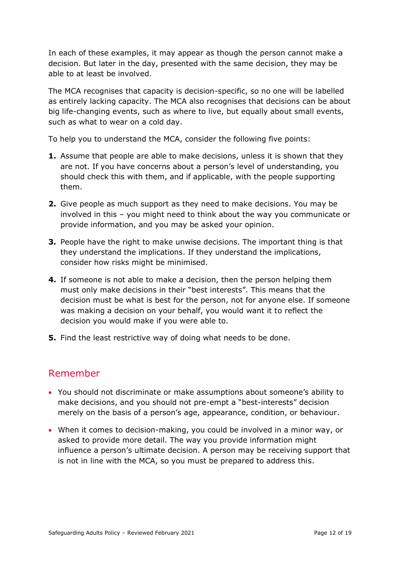In each of these examples, it may appear as though the person cannot make a decision. But later in the day, presented with the same decision, they may be able to at least be involved.

The MCA recognises that capacity is decision-specific, so no one will be labelled as entirely lacking capacity. The MCA also recognises that decisions can be about big life-changing events, such as where to live, but equally about small events, such as what to wear on a cold day.

To help you to understand the MCA, consider the following five points:

- **1.** Assume that people are able to make decisions, unless it is shown that they are not. If you have concerns about a person's level of understanding, you should check this with them, and if applicable, with the people supporting them.
- **2.** Give people as much support as they need to make decisions. You may be involved in this – you might need to think about the way you communicate or provide information, and you may be asked your opinion.
- **3.** People have the right to make unwise decisions. The important thing is that they understand the implications. If they understand the implications, consider how risks might be minimised.
- **4.** If someone is not able to make a decision, then the person helping them must only make decisions in their "best interests". This means that the decision must be what is best for the person, not for anyone else. If someone was making a decision on your behalf, you would want it to reflect the decision you would make if you were able to.
- **5.** Find the least restrictive way of doing what needs to be done.

## Remember

- You should not discriminate or make assumptions about someone's ability to make decisions, and you should not pre-empt a "best-interests" decision merely on the basis of a person's age, appearance, condition, or behaviour.
- When it comes to decision-making, you could be involved in a minor way, or asked to provide more detail. The way you provide information might influence a person's ultimate decision. A person may be receiving support that is not in line with the MCA, so you must be prepared to address this.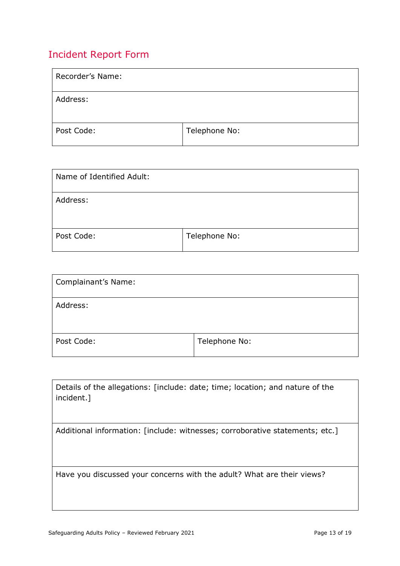## <span id="page-12-0"></span>Incident Report Form

| Recorder's Name: |               |
|------------------|---------------|
| Address:         |               |
| Post Code:       | Telephone No: |

| Name of Identified Adult: |               |
|---------------------------|---------------|
| Address:                  |               |
| Post Code:                | Telephone No: |

| <b>Complainant's Name:</b> |               |
|----------------------------|---------------|
| Address:                   |               |
| Post Code:                 | Telephone No: |

| Details of the allegations: [include: date; time; location; and nature of the<br>incident.] |
|---------------------------------------------------------------------------------------------|
| Additional information: [include: witnesses; corroborative statements; etc.]                |
|                                                                                             |
|                                                                                             |
|                                                                                             |
|                                                                                             |
| Have you discussed your concerns with the adult? What are their views?                      |
|                                                                                             |
|                                                                                             |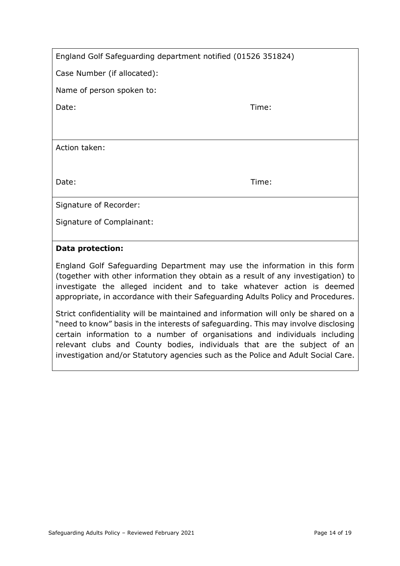| England Golf Safeguarding department notified (01526 351824) |  |
|--------------------------------------------------------------|--|
|--------------------------------------------------------------|--|

Case Number (if allocated):

Name of person spoken to:

Date: Time: Time: The Solution of the Solution of the Solution of the Time: Time:

Action taken:

Date: Time: Time: The Solution of the Solution of the Solution of the Time: Time:

Signature of Recorder:

Signature of Complainant:

#### **Data protection:**

England Golf Safeguarding Department may use the information in this form (together with other information they obtain as a result of any investigation) to investigate the alleged incident and to take whatever action is deemed appropriate, in accordance with their Safeguarding Adults Policy and Procedures.

Strict confidentiality will be maintained and information will only be shared on a "need to know" basis in the interests of safeguarding. This may involve disclosing certain information to a number of organisations and individuals including relevant clubs and County bodies, individuals that are the subject of an investigation and/or Statutory agencies such as the Police and Adult Social Care.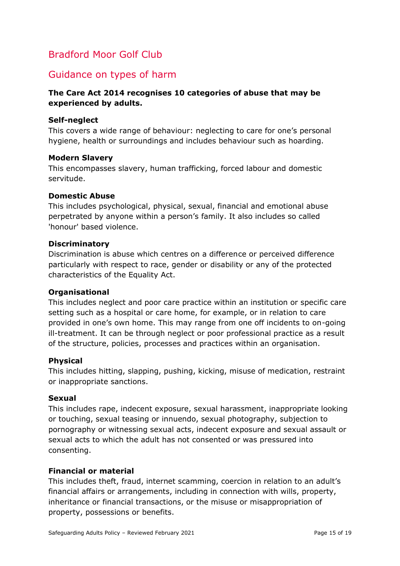## <span id="page-14-0"></span>Bradford Moor Golf Club

### Guidance on types of harm

#### **The Care Act 2014 recognises 10 categories of abuse that may be experienced by adults.**

#### **Self-neglect**

This covers a wide range of behaviour: neglecting to care for one's personal hygiene, health or surroundings and includes behaviour such as hoarding.

#### **Modern Slavery**

This encompasses slavery, human trafficking, forced labour and domestic servitude.

#### **Domestic Abuse**

This includes psychological, physical, sexual, financial and emotional abuse perpetrated by anyone within a person's family. It also includes so called 'honour' based violence.

#### **Discriminatory**

Discrimination is abuse which centres on a difference or perceived difference particularly with respect to race, gender or disability or any of the protected characteristics of the Equality Act.

#### **Organisational**

This includes neglect and poor care practice within an institution or specific care setting such as a hospital or care home, for example, or in relation to care provided in one's own home. This may range from one off incidents to on-going ill-treatment. It can be through neglect or poor professional practice as a result of the structure, policies, processes and practices within an organisation.

#### **Physical**

This includes hitting, slapping, pushing, kicking, misuse of medication, restraint or inappropriate sanctions.

#### **Sexual**

This includes rape, indecent exposure, sexual harassment, inappropriate looking or touching, sexual teasing or innuendo, sexual photography, subjection to pornography or witnessing sexual acts, indecent exposure and sexual assault or sexual acts to which the adult has not consented or was pressured into consenting.

#### **Financial or material**

This includes theft, fraud, internet scamming, coercion in relation to an adult's financial affairs or arrangements, including in connection with wills, property, inheritance or financial transactions, or the misuse or misappropriation of property, possessions or benefits.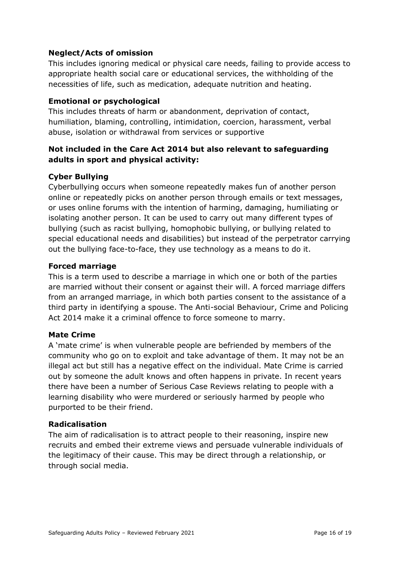#### **Neglect/Acts of omission**

This includes ignoring medical or physical care needs, failing to provide access to appropriate health social care or educational services, the withholding of the necessities of life, such as medication, adequate nutrition and heating.

#### **Emotional or psychological**

This includes threats of harm or abandonment, deprivation of contact, humiliation, blaming, controlling, intimidation, coercion, harassment, verbal abuse, isolation or withdrawal from services or supportive

#### **Not included in the Care Act 2014 but also relevant to safeguarding adults in sport and physical activity:**

#### **Cyber Bullying**

Cyberbullying occurs when someone repeatedly makes fun of another person online or repeatedly picks on another person through emails or text messages, or uses online forums with the intention of harming, damaging, humiliating or isolating another person. It can be used to carry out many different types of bullying (such as racist bullying, homophobic bullying, or bullying related to special educational needs and disabilities) but instead of the perpetrator carrying out the bullying face-to-face, they use technology as a means to do it.

#### **Forced marriage**

This is a term used to describe a marriage in which one or both of the parties are married without their consent or against their will. A forced marriage differs from an arranged marriage, in which both parties consent to the assistance of a third party in identifying a spouse. The Anti-social Behaviour, Crime and Policing Act 2014 make it a criminal offence to force someone to marry.

#### **Mate Crime**

A 'mate crime' is when vulnerable people are befriended by members of the community who go on to exploit and take advantage of them. It may not be an illegal act but still has a negative effect on the individual. Mate Crime is carried out by someone the adult knows and often happens in private. In recent years there have been a number of Serious Case Reviews relating to people with a learning disability who were murdered or seriously harmed by people who purported to be their friend.

#### **Radicalisation**

The aim of radicalisation is to attract people to their reasoning, inspire new recruits and embed their extreme views and persuade vulnerable individuals of the legitimacy of their cause. This may be direct through a relationship, or through social media.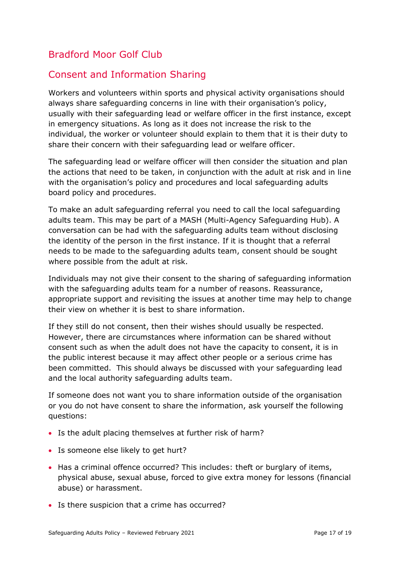## <span id="page-16-0"></span>Bradford Moor Golf Club

## Consent and Information Sharing

Workers and volunteers within sports and physical activity organisations should always share safeguarding concerns in line with their organisation's policy, usually with their safeguarding lead or welfare officer in the first instance, except in emergency situations. As long as it does not increase the risk to the individual, the worker or volunteer should explain to them that it is their duty to share their concern with their safeguarding lead or welfare officer.

The safeguarding lead or welfare officer will then consider the situation and plan the actions that need to be taken, in conjunction with the adult at risk and in line with the organisation's policy and procedures and local safeguarding adults board policy and procedures.

To make an adult safeguarding referral you need to call the local safeguarding adults team. This may be part of a MASH (Multi*-*Agency Safeguarding Hub). A conversation can be had with the safeguarding adults team without disclosing the identity of the person in the first instance. If it is thought that a referral needs to be made to the safeguarding adults team, consent should be sought where possible from the adult at risk.

Individuals may not give their consent to the sharing of safeguarding information with the safeguarding adults team for a number of reasons. Reassurance, appropriate support and revisiting the issues at another time may help to change their view on whether it is best to share information.

If they still do not consent, then their wishes should usually be respected. However, there are circumstances where information can be shared without consent such as when the adult does not have the capacity to consent, it is in the public interest because it may affect other people or a serious crime has been committed. This should always be discussed with your safeguarding lead and the local authority safeguarding adults team.

If someone does not want you to share information outside of the organisation or you do not have consent to share the information, ask yourself the following questions:

- Is the adult placing themselves at further risk of harm?
- Is someone else likely to get hurt?
- Has a criminal offence occurred? This includes: theft or burglary of items, physical abuse, sexual abuse, forced to give extra money for lessons (financial abuse) or harassment.
- Is there suspicion that a crime has occurred?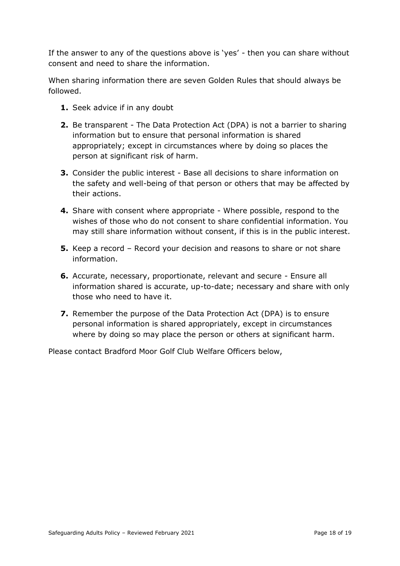If the answer to any of the questions above is 'yes' - then you can share without consent and need to share the information.

When sharing information there are seven Golden Rules that should always be followed.

- **1.** Seek advice if in any doubt
- **2.** Be transparent The Data Protection Act (DPA) is not a barrier to sharing information but to ensure that personal information is shared appropriately; except in circumstances where by doing so places the person at significant risk of harm.
- **3.** Consider the public interest Base all decisions to share information on the safety and well-being of that person or others that may be affected by their actions.
- **4.** Share with consent where appropriate Where possible, respond to the wishes of those who do not consent to share confidential information. You may still share information without consent, if this is in the public interest.
- **5.** Keep a record Record your decision and reasons to share or not share information.
- **6.** Accurate, necessary, proportionate, relevant and secure Ensure all information shared is accurate, up-to-date; necessary and share with only those who need to have it.
- **7.** Remember the purpose of the Data Protection Act (DPA) is to ensure personal information is shared appropriately, except in circumstances where by doing so may place the person or others at significant harm.

Please contact Bradford Moor Golf Club Welfare Officers below,